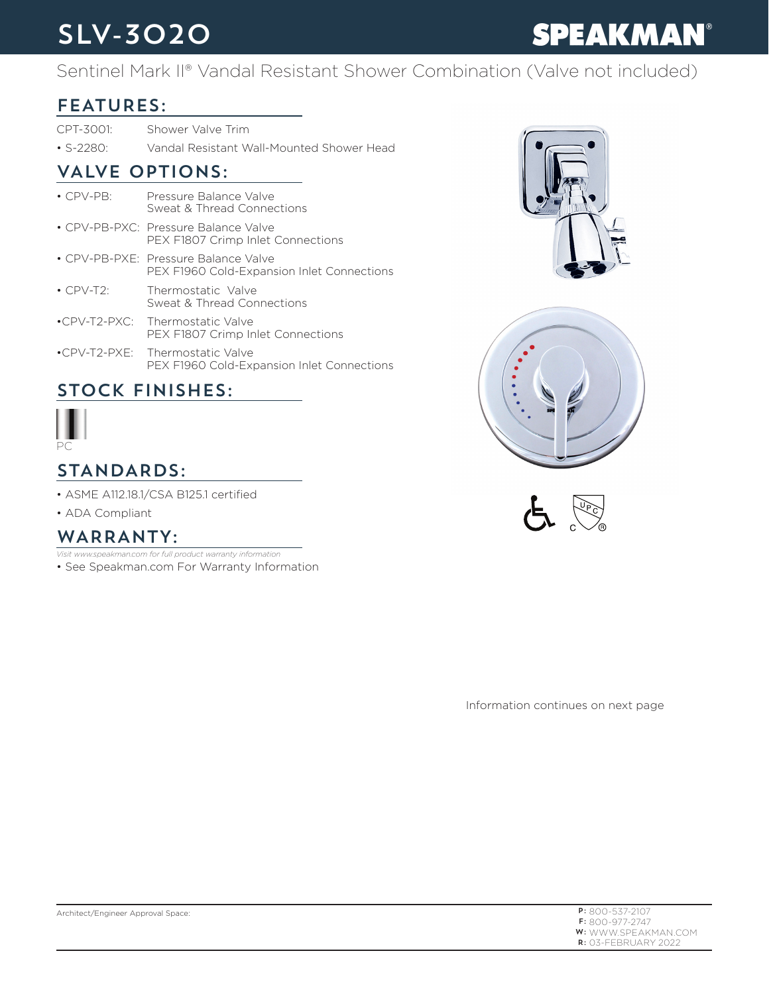## SLV-3020

# **SPEAKMAN®**

### Sentinel Mark II® Vandal Resistant Shower Combination (Valve not included)

#### FEATURES:

CPT-3001: Shower Valve Trim

• S-2280: Vandal Resistant Wall-Mounted Shower Head

#### VALVE OPTIONS:

• CPV-PB: Pressure Balance Valve Sweat & Thread Connections • CPV-PB-PXC: Pressure Balance Valve PEX F1807 Crimp Inlet Connections • CPV-PB-PXE: Pressure Balance Valve PEX F1960 Cold-Expansion Inlet Connections • CPV-T2: Thermostatic Valve Sweat & Thread Connections •CPV-T2-PXC: Thermostatic Valve PEX F1807 Crimp Inlet Connections •CPV-T2-PXE: Thermostatic Valve PEX F1960 Cold-Expansion Inlet Connections

#### STOCK FINISHES:



### STANDARDS:

- ASME A112.18.1/CSA B125.1 certified
- ADA Compliant

#### WARRANTY:

- *Visit www.speakman.com for full product warranty information*
- See Speakman.com For Warranty Information







Information continues on next page

| $P: 800 - 537 - 2107$ |
|-----------------------|
| $F: 800 - 977 - 2747$ |
| W: WWW.SPEAKMAN.COM   |
| $R:$ 03-FFBRUARY 2022 |